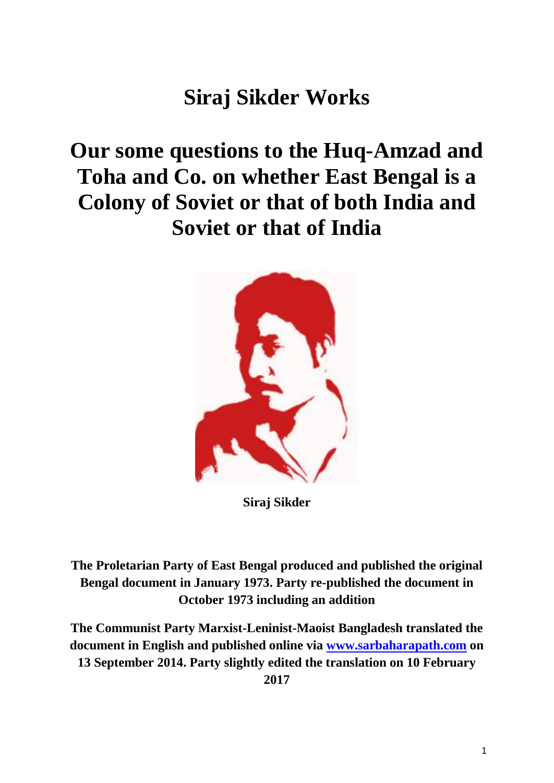## **Siraj Sikder Works**

## **Our some questions to the Huq-Amzad and Toha and Co. on whether East Bengal is a Colony of Soviet or that of both India and Soviet or that of India**



**Siraj Sikder**

**The Proletarian Party of East Bengal produced and published the original Bengal document in January 1973. Party re-published the document in October 1973 including an addition**

**The Communist Party Marxist-Leninist-Maoist Bangladesh translated the document in English and published online via [www.sarbaharapath.com](http://www.sarbaharapath.com/) on 13 September 2014. Party slightly edited the translation on 10 February 2017**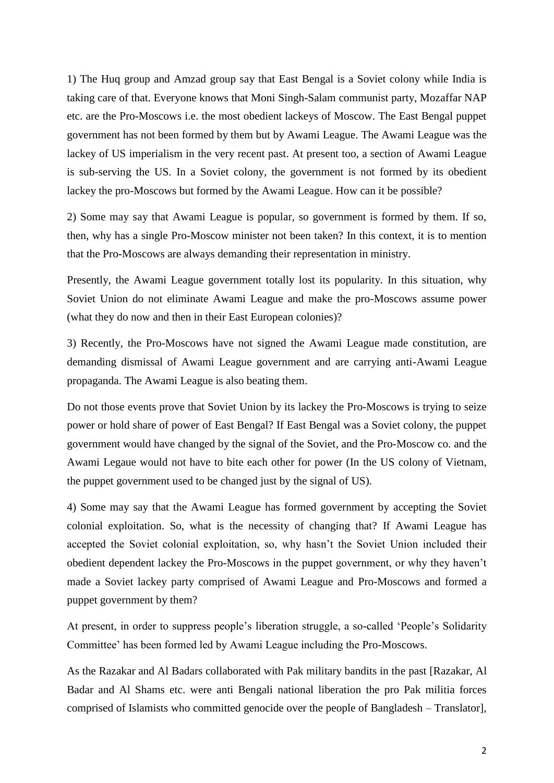1) The Huq group and Amzad group say that East Bengal is a Soviet colony while India is taking care of that. Everyone knows that Moni Singh-Salam communist party, Mozaffar NAP etc. are the Pro-Moscows i.e. the most obedient lackeys of Moscow. The East Bengal puppet government has not been formed by them but by Awami League. The Awami League was the lackey of US imperialism in the very recent past. At present too, a section of Awami League is sub-serving the US. In a Soviet colony, the government is not formed by its obedient lackey the pro-Moscows but formed by the Awami League. How can it be possible?

2) Some may say that Awami League is popular, so government is formed by them. If so, then, why has a single Pro-Moscow minister not been taken? In this context, it is to mention that the Pro-Moscows are always demanding their representation in ministry.

Presently, the Awami League government totally lost its popularity. In this situation, why Soviet Union do not eliminate Awami League and make the pro-Moscows assume power (what they do now and then in their East European colonies)?

3) Recently, the Pro-Moscows have not signed the Awami League made constitution, are demanding dismissal of Awami League government and are carrying anti-Awami League propaganda. The Awami League is also beating them.

Do not those events prove that Soviet Union by its lackey the Pro-Moscows is trying to seize power or hold share of power of East Bengal? If East Bengal was a Soviet colony, the puppet government would have changed by the signal of the Soviet, and the Pro-Moscow co. and the Awami Legaue would not have to bite each other for power (In the US colony of Vietnam, the puppet government used to be changed just by the signal of US).

4) Some may say that the Awami League has formed government by accepting the Soviet colonial exploitation. So, what is the necessity of changing that? If Awami League has accepted the Soviet colonial exploitation, so, why hasn't the Soviet Union included their obedient dependent lackey the Pro-Moscows in the puppet government, or why they haven't made a Soviet lackey party comprised of Awami League and Pro-Moscows and formed a puppet government by them?

At present, in order to suppress people's liberation struggle, a so-called 'People's Solidarity Committee' has been formed led by Awami League including the Pro-Moscows.

As the Razakar and Al Badars collaborated with Pak military bandits in the past [Razakar, Al Badar and Al Shams etc. were anti Bengali national liberation the pro Pak militia forces comprised of Islamists who committed genocide over the people of Bangladesh – Translator],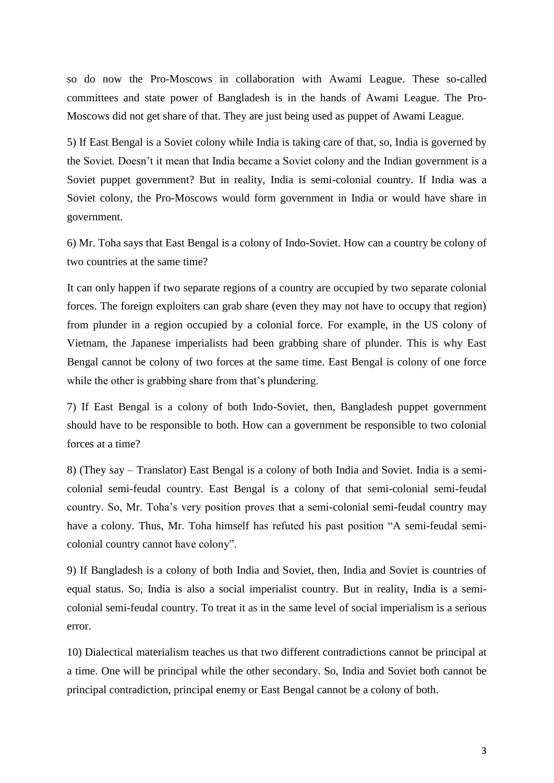so do now the Pro-Moscows in collaboration with Awami League. These so-called committees and state power of Bangladesh is in the hands of Awami League. The Pro-Moscows did not get share of that. They are just being used as puppet of Awami League.

5) If East Bengal is a Soviet colony while India is taking care of that, so, India is governed by the Soviet. Doesn't it mean that India became a Soviet colony and the Indian government is a Soviet puppet government? But in reality, India is semi-colonial country. If India was a Soviet colony, the Pro-Moscows would form government in India or would have share in government.

6) Mr. Toha says that East Bengal is a colony of Indo-Soviet. How can a country be colony of two countries at the same time?

It can only happen if two separate regions of a country are occupied by two separate colonial forces. The foreign exploiters can grab share (even they may not have to occupy that region) from plunder in a region occupied by a colonial force. For example, in the US colony of Vietnam, the Japanese imperialists had been grabbing share of plunder. This is why East Bengal cannot be colony of two forces at the same time. East Bengal is colony of one force while the other is grabbing share from that's plundering.

7) If East Bengal is a colony of both Indo-Soviet, then, Bangladesh puppet government should have to be responsible to both. How can a government be responsible to two colonial forces at a time?

8) (They say – Translator) East Bengal is a colony of both India and Soviet. India is a semicolonial semi-feudal country. East Bengal is a colony of that semi-colonial semi-feudal country. So, Mr. Toha's very position proves that a semi-colonial semi-feudal country may have a colony. Thus, Mr. Toha himself has refuted his past position "A semi-feudal semicolonial country cannot have colony".

9) If Bangladesh is a colony of both India and Soviet, then, India and Soviet is countries of equal status. So, India is also a social imperialist country. But in reality, India is a semicolonial semi-feudal country. To treat it as in the same level of social imperialism is a serious error.

10) Dialectical materialism teaches us that two different contradictions cannot be principal at a time. One will be principal while the other secondary. So, India and Soviet both cannot be principal contradiction, principal enemy or East Bengal cannot be a colony of both.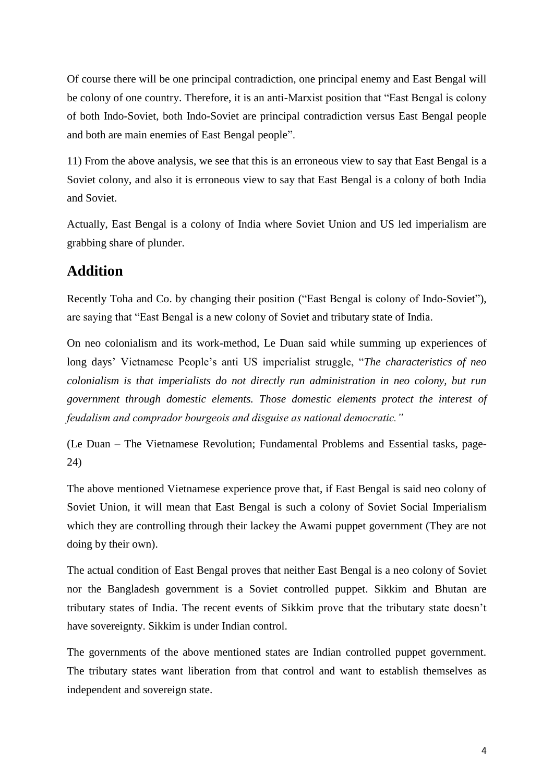Of course there will be one principal contradiction, one principal enemy and East Bengal will be colony of one country. Therefore, it is an anti-Marxist position that "East Bengal is colony of both Indo-Soviet, both Indo-Soviet are principal contradiction versus East Bengal people and both are main enemies of East Bengal people".

11) From the above analysis, we see that this is an erroneous view to say that East Bengal is a Soviet colony, and also it is erroneous view to say that East Bengal is a colony of both India and Soviet.

Actually, East Bengal is a colony of India where Soviet Union and US led imperialism are grabbing share of plunder.

## **Addition**

Recently Toha and Co. by changing their position ("East Bengal is colony of Indo-Soviet"), are saying that "East Bengal is a new colony of Soviet and tributary state of India.

On neo colonialism and its work-method, Le Duan said while summing up experiences of long days' Vietnamese People's anti US imperialist struggle, "*The characteristics of neo colonialism is that imperialists do not directly run administration in neo colony, but run government through domestic elements. Those domestic elements protect the interest of feudalism and comprador bourgeois and disguise as national democratic."*

(Le Duan – The Vietnamese Revolution; Fundamental Problems and Essential tasks, page-24)

The above mentioned Vietnamese experience prove that, if East Bengal is said neo colony of Soviet Union, it will mean that East Bengal is such a colony of Soviet Social Imperialism which they are controlling through their lackey the Awami puppet government (They are not doing by their own).

The actual condition of East Bengal proves that neither East Bengal is a neo colony of Soviet nor the Bangladesh government is a Soviet controlled puppet. Sikkim and Bhutan are tributary states of India. The recent events of Sikkim prove that the tributary state doesn't have sovereignty. Sikkim is under Indian control.

The governments of the above mentioned states are Indian controlled puppet government. The tributary states want liberation from that control and want to establish themselves as independent and sovereign state.